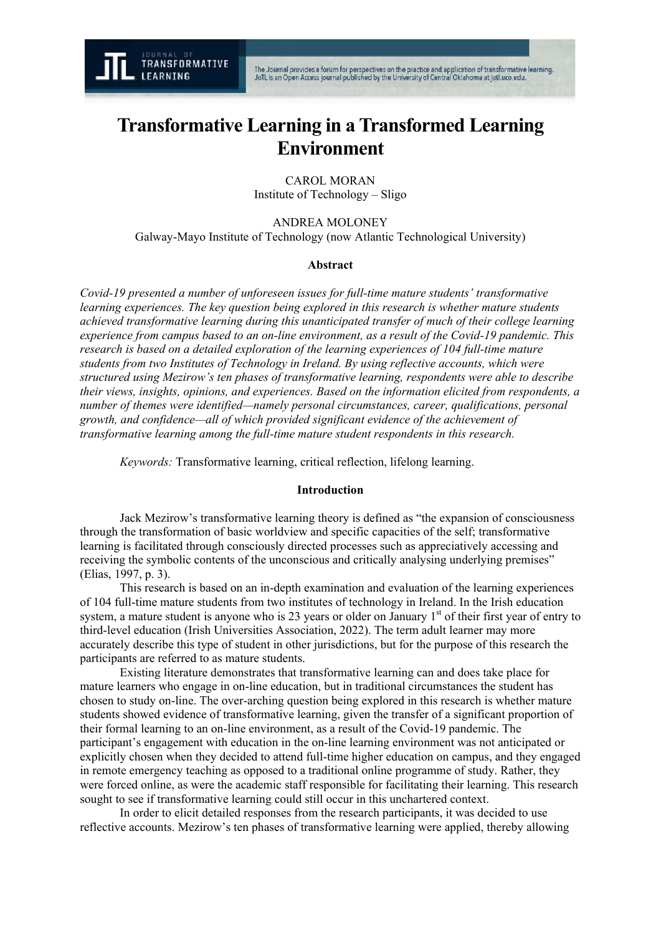

# **Transformative Learning in a Transformed Learning Environment**

CAROL MORAN Institute of Technology – Sligo

ANDREA MOLONEY Galway-Mayo Institute of Technology (now Atlantic Technological University)

## **Abstract**

*Covid-19 presented a number of unforeseen issues for full-time mature students' transformative learning experiences. The key question being explored in this research is whether mature students achieved transformative learning during this unanticipated transfer of much of their college learning experience from campus based to an on-line environment, as a result of the Covid-19 pandemic. This research is based on a detailed exploration of the learning experiences of 104 full-time mature students from two Institutes of Technology in Ireland. By using reflective accounts, which were structured using Mezirow's ten phases of transformative learning, respondents were able to describe their views, insights, opinions, and experiences. Based on the information elicited from respondents, a number of themes were identified—namely personal circumstances, career, qualifications, personal growth, and confidence—all of which provided significant evidence of the achievement of transformative learning among the full-time mature student respondents in this research.* 

*Keywords:* Transformative learning, critical reflection, lifelong learning.

#### **Introduction**

Jack Mezirow's transformative learning theory is defined as "the expansion of consciousness through the transformation of basic worldview and specific capacities of the self; transformative learning is facilitated through consciously directed processes such as appreciatively accessing and receiving the symbolic contents of the unconscious and critically analysing underlying premises" (Elias, 1997, p. 3).

This research is based on an in-depth examination and evaluation of the learning experiences of 104 full-time mature students from two institutes of technology in Ireland. In the Irish education system, a mature student is anyone who is 23 years or older on January 1<sup>st</sup> of their first year of entry to third-level education (Irish Universities Association, 2022). The term adult learner may more accurately describe this type of student in other jurisdictions, but for the purpose of this research the participants are referred to as mature students.

Existing literature demonstrates that transformative learning can and does take place for mature learners who engage in on-line education, but in traditional circumstances the student has chosen to study on-line. The over-arching question being explored in this research is whether mature students showed evidence of transformative learning, given the transfer of a significant proportion of their formal learning to an on-line environment, as a result of the Covid-19 pandemic. The participant's engagement with education in the on-line learning environment was not anticipated or explicitly chosen when they decided to attend full-time higher education on campus, and they engaged in remote emergency teaching as opposed to a traditional online programme of study. Rather, they were forced online, as were the academic staff responsible for facilitating their learning. This research sought to see if transformative learning could still occur in this unchartered context.

In order to elicit detailed responses from the research participants, it was decided to use reflective accounts. Mezirow's ten phases of transformative learning were applied, thereby allowing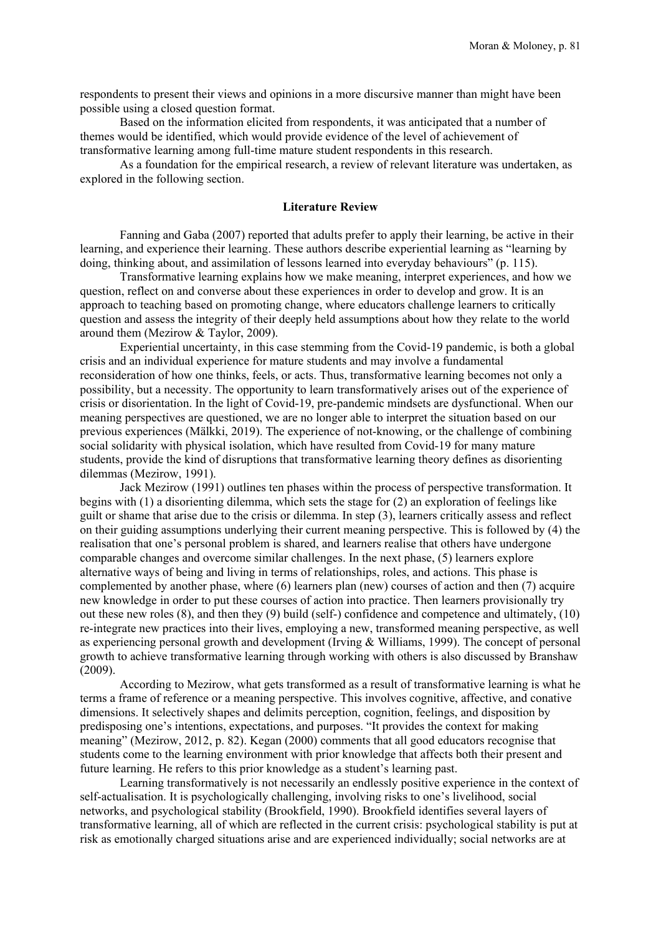respondents to present their views and opinions in a more discursive manner than might have been possible using a closed question format.

Based on the information elicited from respondents, it was anticipated that a number of themes would be identified, which would provide evidence of the level of achievement of transformative learning among full-time mature student respondents in this research.

As a foundation for the empirical research, a review of relevant literature was undertaken, as explored in the following section.

# **Literature Review**

Fanning and Gaba (2007) reported that adults prefer to apply their learning, be active in their learning, and experience their learning. These authors describe experiential learning as "learning by doing, thinking about, and assimilation of lessons learned into everyday behaviours" (p. 115).

Transformative learning explains how we make meaning, interpret experiences, and how we question, reflect on and converse about these experiences in order to develop and grow. It is an approach to teaching based on promoting change, where educators challenge learners to critically question and assess the integrity of their deeply held assumptions about how they relate to the world around them (Mezirow & Taylor, 2009).

Experiential uncertainty, in this case stemming from the Covid-19 pandemic, is both a global crisis and an individual experience for mature students and may involve a fundamental reconsideration of how one thinks, feels, or acts. Thus, transformative learning becomes not only a possibility, but a necessity. The opportunity to learn transformatively arises out of the experience of crisis or disorientation. In the light of Covid-19, pre-pandemic mindsets are dysfunctional. When our meaning perspectives are questioned, we are no longer able to interpret the situation based on our previous experiences (Mälkki, 2019). The experience of not-knowing, or the challenge of combining social solidarity with physical isolation, which have resulted from Covid-19 for many mature students, provide the kind of disruptions that transformative learning theory defines as disorienting dilemmas (Mezirow, 1991).

Jack Mezirow (1991) outlines ten phases within the process of perspective transformation. It begins with (1) a disorienting dilemma, which sets the stage for (2) an exploration of feelings like guilt or shame that arise due to the crisis or dilemma. In step (3), learners critically assess and reflect on their guiding assumptions underlying their current meaning perspective. This is followed by (4) the realisation that one's personal problem is shared, and learners realise that others have undergone comparable changes and overcome similar challenges. In the next phase, (5) learners explore alternative ways of being and living in terms of relationships, roles, and actions. This phase is complemented by another phase, where (6) learners plan (new) courses of action and then (7) acquire new knowledge in order to put these courses of action into practice. Then learners provisionally try out these new roles (8), and then they (9) build (self-) confidence and competence and ultimately, (10) re-integrate new practices into their lives, employing a new, transformed meaning perspective, as well as experiencing personal growth and development (Irving & Williams, 1999). The concept of personal growth to achieve transformative learning through working with others is also discussed by Branshaw (2009).

According to Mezirow, what gets transformed as a result of transformative learning is what he terms a frame of reference or a meaning perspective. This involves cognitive, affective, and conative dimensions. It selectively shapes and delimits perception, cognition, feelings, and disposition by predisposing one's intentions, expectations, and purposes. "It provides the context for making meaning" (Mezirow, 2012, p. 82). Kegan (2000) comments that all good educators recognise that students come to the learning environment with prior knowledge that affects both their present and future learning. He refers to this prior knowledge as a student's learning past.

Learning transformatively is not necessarily an endlessly positive experience in the context of self-actualisation. It is psychologically challenging, involving risks to one's livelihood, social networks, and psychological stability (Brookfield, 1990). Brookfield identifies several layers of transformative learning, all of which are reflected in the current crisis: psychological stability is put at risk as emotionally charged situations arise and are experienced individually; social networks are at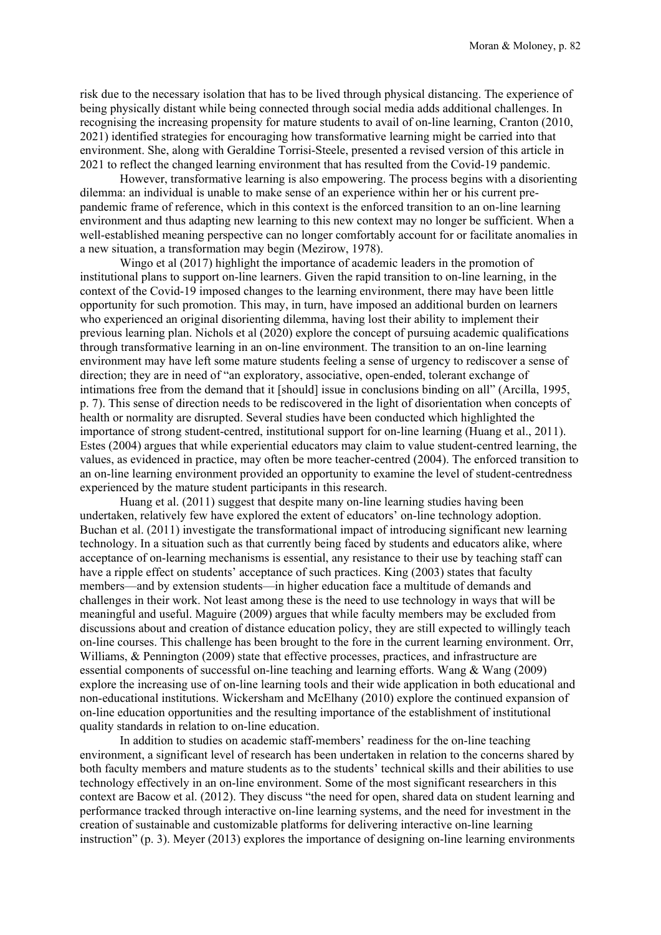risk due to the necessary isolation that has to be lived through physical distancing. The experience of being physically distant while being connected through social media adds additional challenges. In recognising the increasing propensity for mature students to avail of on-line learning, Cranton (2010, 2021) identified strategies for encouraging how transformative learning might be carried into that environment. She, along with Geraldine Torrisi-Steele, presented a revised version of this article in 2021 to reflect the changed learning environment that has resulted from the Covid-19 pandemic.

However, transformative learning is also empowering. The process begins with a disorienting dilemma: an individual is unable to make sense of an experience within her or his current prepandemic frame of reference, which in this context is the enforced transition to an on-line learning environment and thus adapting new learning to this new context may no longer be sufficient. When a well-established meaning perspective can no longer comfortably account for or facilitate anomalies in a new situation, a transformation may begin (Mezirow, 1978).

Wingo et al (2017) highlight the importance of academic leaders in the promotion of institutional plans to support on-line learners. Given the rapid transition to on-line learning, in the context of the Covid-19 imposed changes to the learning environment, there may have been little opportunity for such promotion. This may, in turn, have imposed an additional burden on learners who experienced an original disorienting dilemma, having lost their ability to implement their previous learning plan. Nichols et al (2020) explore the concept of pursuing academic qualifications through transformative learning in an on-line environment. The transition to an on-line learning environment may have left some mature students feeling a sense of urgency to rediscover a sense of direction; they are in need of "an exploratory, associative, open-ended, tolerant exchange of intimations free from the demand that it [should] issue in conclusions binding on all" (Arcilla, 1995, p. 7). This sense of direction needs to be rediscovered in the light of disorientation when concepts of health or normality are disrupted. Several studies have been conducted which highlighted the importance of strong student-centred, institutional support for on-line learning (Huang et al., 2011). Estes (2004) argues that while experiential educators may claim to value student-centred learning, the values, as evidenced in practice, may often be more teacher-centred (2004). The enforced transition to an on-line learning environment provided an opportunity to examine the level of student-centredness experienced by the mature student participants in this research.

Huang et al. (2011) suggest that despite many on-line learning studies having been undertaken, relatively few have explored the extent of educators' on-line technology adoption. Buchan et al. (2011) investigate the transformational impact of introducing significant new learning technology. In a situation such as that currently being faced by students and educators alike, where acceptance of on-learning mechanisms is essential, any resistance to their use by teaching staff can have a ripple effect on students' acceptance of such practices. King (2003) states that faculty members—and by extension students—in higher education face a multitude of demands and challenges in their work. Not least among these is the need to use technology in ways that will be meaningful and useful. Maguire (2009) argues that while faculty members may be excluded from discussions about and creation of distance education policy, they are still expected to willingly teach on-line courses. This challenge has been brought to the fore in the current learning environment. Orr, Williams, & Pennington (2009) state that effective processes, practices, and infrastructure are essential components of successful on-line teaching and learning efforts. Wang & Wang (2009) explore the increasing use of on-line learning tools and their wide application in both educational and non-educational institutions. Wickersham and McElhany (2010) explore the continued expansion of on-line education opportunities and the resulting importance of the establishment of institutional quality standards in relation to on-line education.

In addition to studies on academic staff-members' readiness for the on-line teaching environment, a significant level of research has been undertaken in relation to the concerns shared by both faculty members and mature students as to the students' technical skills and their abilities to use technology effectively in an on-line environment. Some of the most significant researchers in this context are Bacow et al. (2012). They discuss "the need for open, shared data on student learning and performance tracked through interactive on-line learning systems, and the need for investment in the creation of sustainable and customizable platforms for delivering interactive on-line learning instruction" (p. 3). Meyer (2013) explores the importance of designing on-line learning environments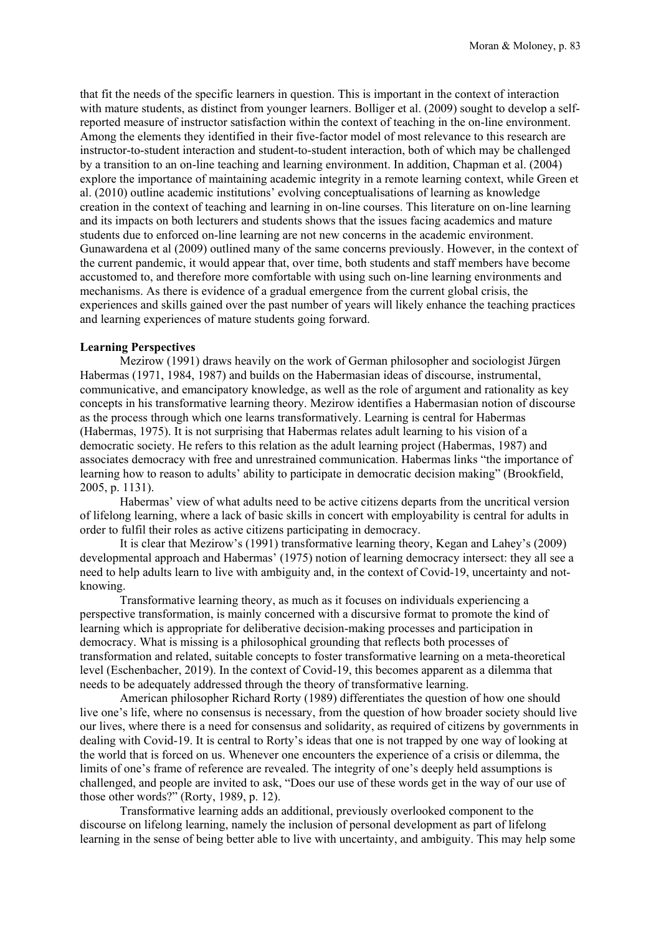that fit the needs of the specific learners in question. This is important in the context of interaction with mature students, as distinct from younger learners. Bolliger et al. (2009) sought to develop a selfreported measure of instructor satisfaction within the context of teaching in the on-line environment. Among the elements they identified in their five-factor model of most relevance to this research are instructor-to-student interaction and student-to-student interaction, both of which may be challenged by a transition to an on-line teaching and learning environment. In addition, Chapman et al. (2004) explore the importance of maintaining academic integrity in a remote learning context, while Green et al. (2010) outline academic institutions' evolving conceptualisations of learning as knowledge creation in the context of teaching and learning in on-line courses. This literature on on-line learning and its impacts on both lecturers and students shows that the issues facing academics and mature students due to enforced on-line learning are not new concerns in the academic environment. Gunawardena et al (2009) outlined many of the same concerns previously. However, in the context of the current pandemic, it would appear that, over time, both students and staff members have become accustomed to, and therefore more comfortable with using such on-line learning environments and mechanisms. As there is evidence of a gradual emergence from the current global crisis, the experiences and skills gained over the past number of years will likely enhance the teaching practices and learning experiences of mature students going forward.

## **Learning Perspectives**

Mezirow (1991) draws heavily on the work of German philosopher and sociologist Jürgen Habermas (1971, 1984, 1987) and builds on the Habermasian ideas of discourse, instrumental, communicative, and emancipatory knowledge, as well as the role of argument and rationality as key concepts in his transformative learning theory. Mezirow identifies a Habermasian notion of discourse as the process through which one learns transformatively. Learning is central for Habermas (Habermas, 1975). It is not surprising that Habermas relates adult learning to his vision of a democratic society. He refers to this relation as the adult learning project (Habermas, 1987) and associates democracy with free and unrestrained communication. Habermas links "the importance of learning how to reason to adults' ability to participate in democratic decision making" (Brookfield, 2005, p. 1131).

Habermas' view of what adults need to be active citizens departs from the uncritical version of lifelong learning, where a lack of basic skills in concert with employability is central for adults in order to fulfil their roles as active citizens participating in democracy.

It is clear that Mezirow's (1991) transformative learning theory, Kegan and Lahey's (2009) developmental approach and Habermas' (1975) notion of learning democracy intersect: they all see a need to help adults learn to live with ambiguity and, in the context of Covid-19, uncertainty and notknowing.

Transformative learning theory, as much as it focuses on individuals experiencing a perspective transformation, is mainly concerned with a discursive format to promote the kind of learning which is appropriate for deliberative decision-making processes and participation in democracy. What is missing is a philosophical grounding that reflects both processes of transformation and related, suitable concepts to foster transformative learning on a meta-theoretical level (Eschenbacher, 2019). In the context of Covid-19, this becomes apparent as a dilemma that needs to be adequately addressed through the theory of transformative learning.

American philosopher Richard Rorty (1989) differentiates the question of how one should live one's life, where no consensus is necessary, from the question of how broader society should live our lives, where there is a need for consensus and solidarity, as required of citizens by governments in dealing with Covid-19. It is central to Rorty's ideas that one is not trapped by one way of looking at the world that is forced on us. Whenever one encounters the experience of a crisis or dilemma, the limits of one's frame of reference are revealed. The integrity of one's deeply held assumptions is challenged, and people are invited to ask, "Does our use of these words get in the way of our use of those other words?" (Rorty, 1989, p. 12).

Transformative learning adds an additional, previously overlooked component to the discourse on lifelong learning, namely the inclusion of personal development as part of lifelong learning in the sense of being better able to live with uncertainty, and ambiguity. This may help some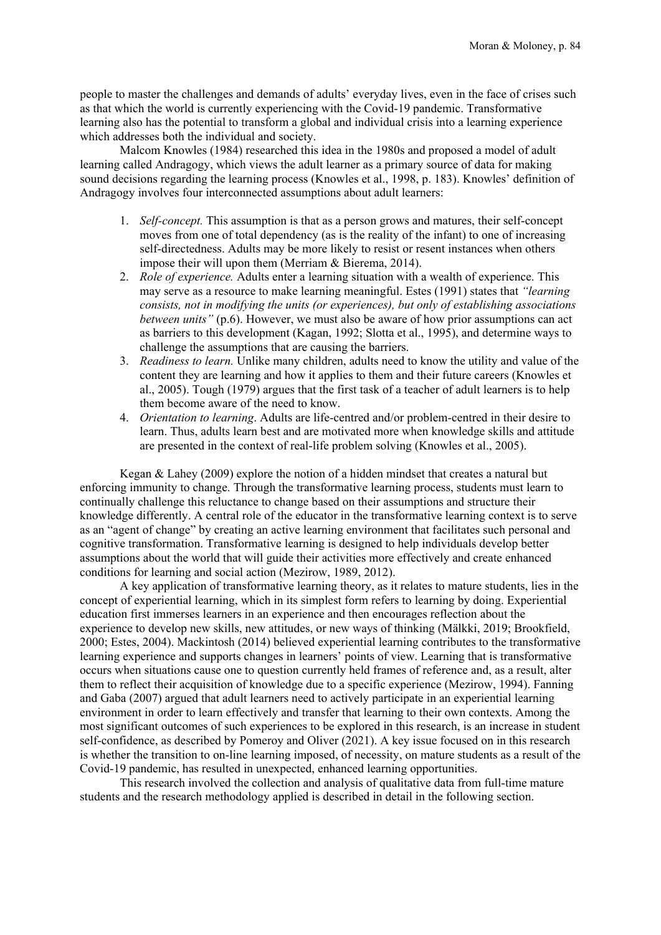people to master the challenges and demands of adults' everyday lives, even in the face of crises such as that which the world is currently experiencing with the Covid-19 pandemic. Transformative learning also has the potential to transform a global and individual crisis into a learning experience which addresses both the individual and society.

Malcom Knowles (1984) researched this idea in the 1980s and proposed a model of adult learning called Andragogy, which views the adult learner as a primary source of data for making sound decisions regarding the learning process (Knowles et al., 1998, p. 183). Knowles' definition of Andragogy involves four interconnected assumptions about adult learners:

- 1. *Self-concept.* This assumption is that as a person grows and matures, their self-concept moves from one of total dependency (as is the reality of the infant) to one of increasing self-directedness. Adults may be more likely to resist or resent instances when others impose their will upon them (Merriam & Bierema, 2014).
- 2. *Role of experience.* Adults enter a learning situation with a wealth of experience. This may serve as a resource to make learning meaningful. Estes (1991) states that *"learning consists, not in modifying the units (or experiences), but only of establishing associations between units"* (p.6). However, we must also be aware of how prior assumptions can act as barriers to this development (Kagan, 1992; Slotta et al., 1995), and determine ways to challenge the assumptions that are causing the barriers.
- 3. *Readiness to learn.* Unlike many children, adults need to know the utility and value of the content they are learning and how it applies to them and their future careers (Knowles et al., 2005). Tough (1979) argues that the first task of a teacher of adult learners is to help them become aware of the need to know.
- 4. *Orientation to learning*. Adults are life-centred and/or problem-centred in their desire to learn. Thus, adults learn best and are motivated more when knowledge skills and attitude are presented in the context of real-life problem solving (Knowles et al., 2005).

Kegan & Lahey (2009) explore the notion of a hidden mindset that creates a natural but enforcing immunity to change. Through the transformative learning process, students must learn to continually challenge this reluctance to change based on their assumptions and structure their knowledge differently. A central role of the educator in the transformative learning context is to serve as an "agent of change" by creating an active learning environment that facilitates such personal and cognitive transformation. Transformative learning is designed to help individuals develop better assumptions about the world that will guide their activities more effectively and create enhanced conditions for learning and social action (Mezirow, 1989, 2012).

A key application of transformative learning theory, as it relates to mature students, lies in the concept of experiential learning, which in its simplest form refers to learning by doing. Experiential education first immerses learners in an experience and then encourages reflection about the experience to develop new skills, new attitudes, or new ways of thinking (Mälkki, 2019; Brookfield, 2000; Estes, 2004). Mackintosh (2014) believed experiential learning contributes to the transformative learning experience and supports changes in learners' points of view. Learning that is transformative occurs when situations cause one to question currently held frames of reference and, as a result, alter them to reflect their acquisition of knowledge due to a specific experience (Mezirow, 1994). Fanning and Gaba (2007) argued that adult learners need to actively participate in an experiential learning environment in order to learn effectively and transfer that learning to their own contexts. Among the most significant outcomes of such experiences to be explored in this research, is an increase in student self-confidence, as described by Pomeroy and Oliver (2021). A key issue focused on in this research is whether the transition to on-line learning imposed, of necessity, on mature students as a result of the Covid-19 pandemic, has resulted in unexpected, enhanced learning opportunities.

This research involved the collection and analysis of qualitative data from full-time mature students and the research methodology applied is described in detail in the following section.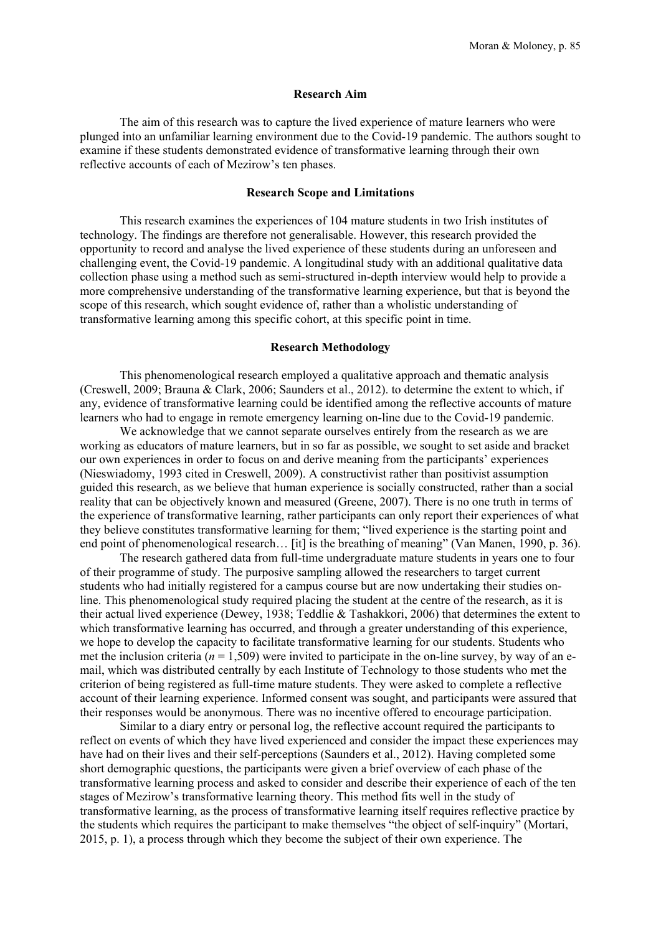# **Research Aim**

The aim of this research was to capture the lived experience of mature learners who were plunged into an unfamiliar learning environment due to the Covid-19 pandemic. The authors sought to examine if these students demonstrated evidence of transformative learning through their own reflective accounts of each of Mezirow's ten phases.

## **Research Scope and Limitations**

This research examines the experiences of 104 mature students in two Irish institutes of technology. The findings are therefore not generalisable. However, this research provided the opportunity to record and analyse the lived experience of these students during an unforeseen and challenging event, the Covid-19 pandemic. A longitudinal study with an additional qualitative data collection phase using a method such as semi-structured in-depth interview would help to provide a more comprehensive understanding of the transformative learning experience, but that is beyond the scope of this research, which sought evidence of, rather than a wholistic understanding of transformative learning among this specific cohort, at this specific point in time.

# **Research Methodology**

This phenomenological research employed a qualitative approach and thematic analysis (Creswell, 2009; Brauna & Clark, 2006; Saunders et al., 2012). to determine the extent to which, if any, evidence of transformative learning could be identified among the reflective accounts of mature learners who had to engage in remote emergency learning on-line due to the Covid-19 pandemic.

We acknowledge that we cannot separate ourselves entirely from the research as we are working as educators of mature learners, but in so far as possible, we sought to set aside and bracket our own experiences in order to focus on and derive meaning from the participants' experiences (Nieswiadomy, 1993 cited in Creswell, 2009). A constructivist rather than positivist assumption guided this research, as we believe that human experience is socially constructed, rather than a social reality that can be objectively known and measured (Greene, 2007). There is no one truth in terms of the experience of transformative learning, rather participants can only report their experiences of what they believe constitutes transformative learning for them; "lived experience is the starting point and end point of phenomenological research… [it] is the breathing of meaning" (Van Manen, 1990, p. 36).

The research gathered data from full-time undergraduate mature students in years one to four of their programme of study. The purposive sampling allowed the researchers to target current students who had initially registered for a campus course but are now undertaking their studies online. This phenomenological study required placing the student at the centre of the research, as it is their actual lived experience (Dewey, 1938; Teddlie & Tashakkori, 2006) that determines the extent to which transformative learning has occurred, and through a greater understanding of this experience, we hope to develop the capacity to facilitate transformative learning for our students. Students who met the inclusion criteria ( $n = 1,509$ ) were invited to participate in the on-line survey, by way of an email, which was distributed centrally by each Institute of Technology to those students who met the criterion of being registered as full-time mature students. They were asked to complete a reflective account of their learning experience. Informed consent was sought, and participants were assured that their responses would be anonymous. There was no incentive offered to encourage participation.

Similar to a diary entry or personal log, the reflective account required the participants to reflect on events of which they have lived experienced and consider the impact these experiences may have had on their lives and their self-perceptions (Saunders et al., 2012). Having completed some short demographic questions, the participants were given a brief overview of each phase of the transformative learning process and asked to consider and describe their experience of each of the ten stages of Mezirow's transformative learning theory. This method fits well in the study of transformative learning, as the process of transformative learning itself requires reflective practice by the students which requires the participant to make themselves "the object of self-inquiry" (Mortari, 2015, p. 1), a process through which they become the subject of their own experience. The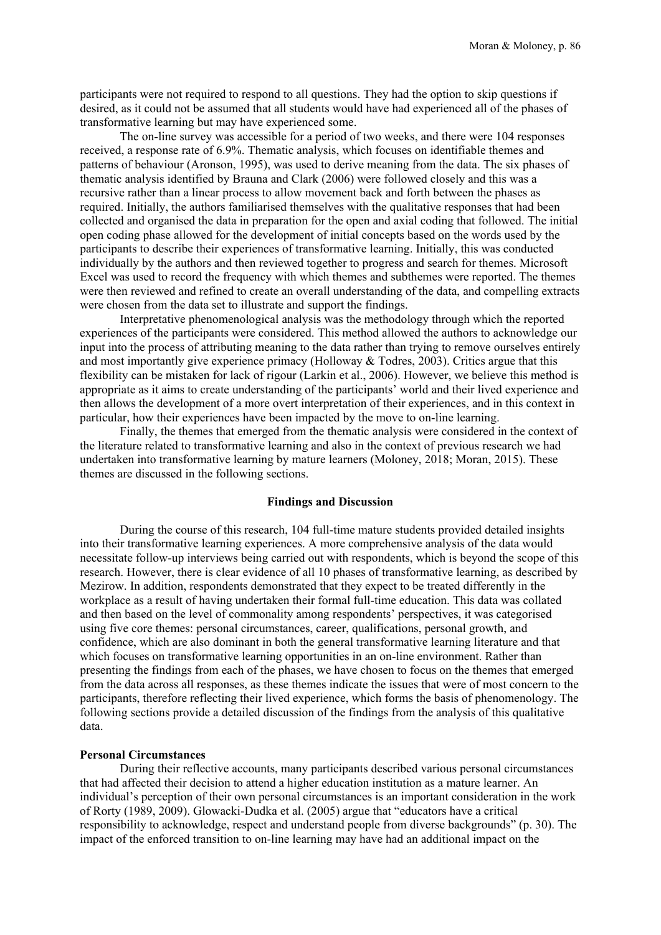participants were not required to respond to all questions. They had the option to skip questions if desired, as it could not be assumed that all students would have had experienced all of the phases of transformative learning but may have experienced some.

The on-line survey was accessible for a period of two weeks, and there were 104 responses received, a response rate of 6.9%. Thematic analysis, which focuses on identifiable themes and patterns of behaviour (Aronson, 1995), was used to derive meaning from the data. The six phases of thematic analysis identified by Brauna and Clark (2006) were followed closely and this was a recursive rather than a linear process to allow movement back and forth between the phases as required. Initially, the authors familiarised themselves with the qualitative responses that had been collected and organised the data in preparation for the open and axial coding that followed. The initial open coding phase allowed for the development of initial concepts based on the words used by the participants to describe their experiences of transformative learning. Initially, this was conducted individually by the authors and then reviewed together to progress and search for themes. Microsoft Excel was used to record the frequency with which themes and subthemes were reported. The themes were then reviewed and refined to create an overall understanding of the data, and compelling extracts were chosen from the data set to illustrate and support the findings.

Interpretative phenomenological analysis was the methodology through which the reported experiences of the participants were considered. This method allowed the authors to acknowledge our input into the process of attributing meaning to the data rather than trying to remove ourselves entirely and most importantly give experience primacy (Holloway & Todres, 2003). Critics argue that this flexibility can be mistaken for lack of rigour (Larkin et al., 2006). However, we believe this method is appropriate as it aims to create understanding of the participants' world and their lived experience and then allows the development of a more overt interpretation of their experiences, and in this context in particular, how their experiences have been impacted by the move to on-line learning.

Finally, the themes that emerged from the thematic analysis were considered in the context of the literature related to transformative learning and also in the context of previous research we had undertaken into transformative learning by mature learners (Moloney, 2018; Moran, 2015). These themes are discussed in the following sections.

#### **Findings and Discussion**

During the course of this research, 104 full-time mature students provided detailed insights into their transformative learning experiences. A more comprehensive analysis of the data would necessitate follow-up interviews being carried out with respondents, which is beyond the scope of this research. However, there is clear evidence of all 10 phases of transformative learning, as described by Mezirow. In addition, respondents demonstrated that they expect to be treated differently in the workplace as a result of having undertaken their formal full-time education. This data was collated and then based on the level of commonality among respondents' perspectives, it was categorised using five core themes: personal circumstances, career, qualifications, personal growth, and confidence, which are also dominant in both the general transformative learning literature and that which focuses on transformative learning opportunities in an on-line environment. Rather than presenting the findings from each of the phases, we have chosen to focus on the themes that emerged from the data across all responses, as these themes indicate the issues that were of most concern to the participants, therefore reflecting their lived experience, which forms the basis of phenomenology. The following sections provide a detailed discussion of the findings from the analysis of this qualitative data.

## **Personal Circumstances**

During their reflective accounts, many participants described various personal circumstances that had affected their decision to attend a higher education institution as a mature learner. An individual's perception of their own personal circumstances is an important consideration in the work of Rorty (1989, 2009). Glowacki-Dudka et al. (2005) argue that "educators have a critical responsibility to acknowledge, respect and understand people from diverse backgrounds" (p. 30). The impact of the enforced transition to on-line learning may have had an additional impact on the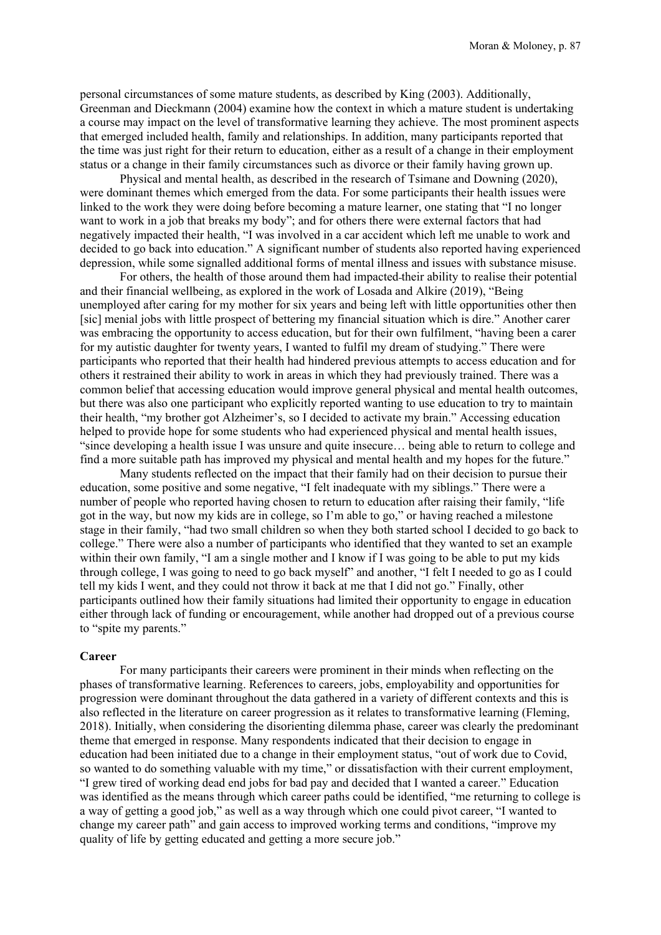personal circumstances of some mature students, as described by King (2003). Additionally, Greenman and Dieckmann (2004) examine how the context in which a mature student is undertaking a course may impact on the level of transformative learning they achieve. The most prominent aspects that emerged included health, family and relationships. In addition, many participants reported that the time was just right for their return to education, either as a result of a change in their employment status or a change in their family circumstances such as divorce or their family having grown up.

Physical and mental health, as described in the research of Tsimane and Downing (2020), were dominant themes which emerged from the data. For some participants their health issues were linked to the work they were doing before becoming a mature learner, one stating that "I no longer want to work in a job that breaks my body"; and for others there were external factors that had negatively impacted their health, "I was involved in a car accident which left me unable to work and decided to go back into education." A significant number of students also reported having experienced depression, while some signalled additional forms of mental illness and issues with substance misuse.

For others, the health of those around them had impacted their ability to realise their potential and their financial wellbeing, as explored in the work of Losada and Alkire (2019), "Being unemployed after caring for my mother for six years and being left with little opportunities other then [sic] menial jobs with little prospect of bettering my financial situation which is dire." Another carer was embracing the opportunity to access education, but for their own fulfilment, "having been a carer for my autistic daughter for twenty years, I wanted to fulfil my dream of studying." There were participants who reported that their health had hindered previous attempts to access education and for others it restrained their ability to work in areas in which they had previously trained. There was a common belief that accessing education would improve general physical and mental health outcomes, but there was also one participant who explicitly reported wanting to use education to try to maintain their health, "my brother got Alzheimer's, so I decided to activate my brain." Accessing education helped to provide hope for some students who had experienced physical and mental health issues, "since developing a health issue I was unsure and quite insecure… being able to return to college and find a more suitable path has improved my physical and mental health and my hopes for the future."

Many students reflected on the impact that their family had on their decision to pursue their education, some positive and some negative, "I felt inadequate with my siblings." There were a number of people who reported having chosen to return to education after raising their family, "life got in the way, but now my kids are in college, so I'm able to go," or having reached a milestone stage in their family, "had two small children so when they both started school I decided to go back to college." There were also a number of participants who identified that they wanted to set an example within their own family, "I am a single mother and I know if I was going to be able to put my kids through college, I was going to need to go back myself" and another, "I felt I needed to go as I could tell my kids I went, and they could not throw it back at me that I did not go." Finally, other participants outlined how their family situations had limited their opportunity to engage in education either through lack of funding or encouragement, while another had dropped out of a previous course to "spite my parents."

#### **Career**

For many participants their careers were prominent in their minds when reflecting on the phases of transformative learning. References to careers, jobs, employability and opportunities for progression were dominant throughout the data gathered in a variety of different contexts and this is also reflected in the literature on career progression as it relates to transformative learning (Fleming, 2018). Initially, when considering the disorienting dilemma phase, career was clearly the predominant theme that emerged in response. Many respondents indicated that their decision to engage in education had been initiated due to a change in their employment status, "out of work due to Covid, so wanted to do something valuable with my time," or dissatisfaction with their current employment, "I grew tired of working dead end jobs for bad pay and decided that I wanted a career." Education was identified as the means through which career paths could be identified, "me returning to college is a way of getting a good job," as well as a way through which one could pivot career, "I wanted to change my career path" and gain access to improved working terms and conditions, "improve my quality of life by getting educated and getting a more secure job."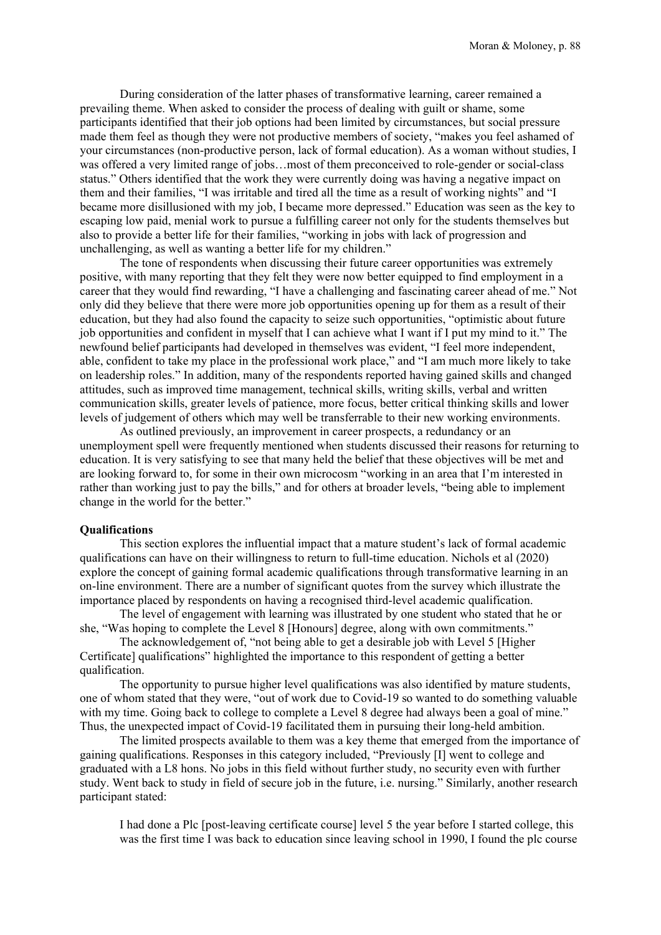During consideration of the latter phases of transformative learning, career remained a prevailing theme. When asked to consider the process of dealing with guilt or shame, some participants identified that their job options had been limited by circumstances, but social pressure made them feel as though they were not productive members of society, "makes you feel ashamed of your circumstances (non-productive person, lack of formal education). As a woman without studies, I was offered a very limited range of jobs…most of them preconceived to role-gender or social-class status." Others identified that the work they were currently doing was having a negative impact on them and their families, "I was irritable and tired all the time as a result of working nights" and "I became more disillusioned with my job, I became more depressed." Education was seen as the key to escaping low paid, menial work to pursue a fulfilling career not only for the students themselves but also to provide a better life for their families, "working in jobs with lack of progression and unchallenging, as well as wanting a better life for my children."

The tone of respondents when discussing their future career opportunities was extremely positive, with many reporting that they felt they were now better equipped to find employment in a career that they would find rewarding, "I have a challenging and fascinating career ahead of me." Not only did they believe that there were more job opportunities opening up for them as a result of their education, but they had also found the capacity to seize such opportunities, "optimistic about future job opportunities and confident in myself that I can achieve what I want if I put my mind to it." The newfound belief participants had developed in themselves was evident, "I feel more independent, able, confident to take my place in the professional work place," and "I am much more likely to take on leadership roles." In addition, many of the respondents reported having gained skills and changed attitudes, such as improved time management, technical skills, writing skills, verbal and written communication skills, greater levels of patience, more focus, better critical thinking skills and lower levels of judgement of others which may well be transferrable to their new working environments.

As outlined previously, an improvement in career prospects, a redundancy or an unemployment spell were frequently mentioned when students discussed their reasons for returning to education. It is very satisfying to see that many held the belief that these objectives will be met and are looking forward to, for some in their own microcosm "working in an area that I'm interested in rather than working just to pay the bills," and for others at broader levels, "being able to implement change in the world for the better."

## **Qualifications**

This section explores the influential impact that a mature student's lack of formal academic qualifications can have on their willingness to return to full-time education. Nichols et al (2020) explore the concept of gaining formal academic qualifications through transformative learning in an on-line environment. There are a number of significant quotes from the survey which illustrate the importance placed by respondents on having a recognised third-level academic qualification.

The level of engagement with learning was illustrated by one student who stated that he or she, "Was hoping to complete the Level 8 [Honours] degree, along with own commitments."

The acknowledgement of, "not being able to get a desirable job with Level 5 [Higher Certificate] qualifications" highlighted the importance to this respondent of getting a better qualification.

The opportunity to pursue higher level qualifications was also identified by mature students, one of whom stated that they were, "out of work due to Covid-19 so wanted to do something valuable with my time. Going back to college to complete a Level 8 degree had always been a goal of mine." Thus, the unexpected impact of Covid-19 facilitated them in pursuing their long-held ambition.

The limited prospects available to them was a key theme that emerged from the importance of gaining qualifications. Responses in this category included, "Previously [I] went to college and graduated with a L8 hons. No jobs in this field without further study, no security even with further study. Went back to study in field of secure job in the future, i.e. nursing." Similarly, another research participant stated:

I had done a Plc [post-leaving certificate course] level 5 the year before I started college, this was the first time I was back to education since leaving school in 1990, I found the plc course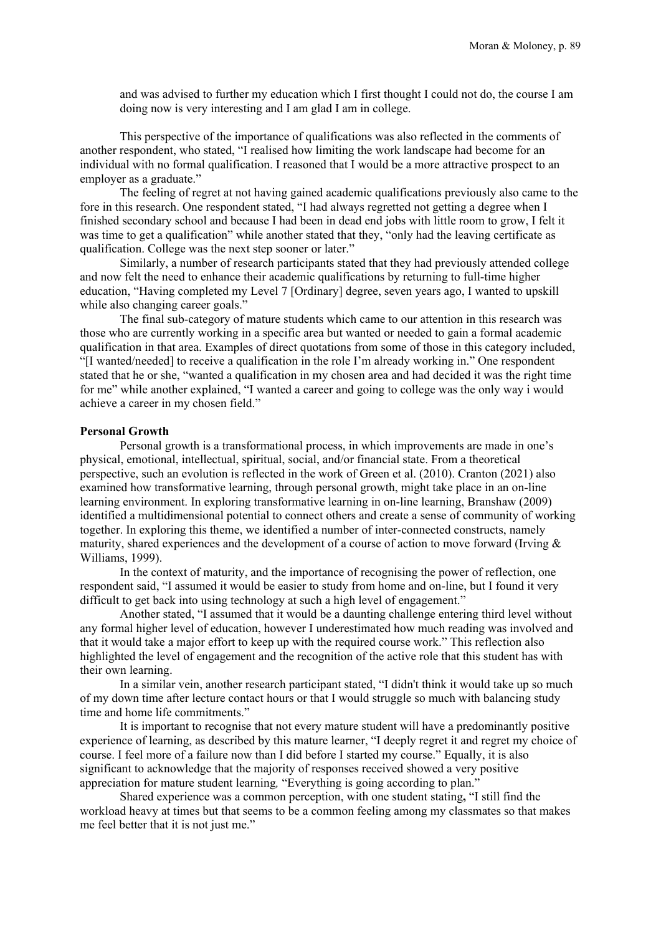and was advised to further my education which I first thought I could not do, the course I am doing now is very interesting and I am glad I am in college.

This perspective of the importance of qualifications was also reflected in the comments of another respondent, who stated, "I realised how limiting the work landscape had become for an individual with no formal qualification. I reasoned that I would be a more attractive prospect to an employer as a graduate."

The feeling of regret at not having gained academic qualifications previously also came to the fore in this research. One respondent stated, "I had always regretted not getting a degree when I finished secondary school and because I had been in dead end jobs with little room to grow, I felt it was time to get a qualification" while another stated that they, "only had the leaving certificate as qualification. College was the next step sooner or later."

Similarly, a number of research participants stated that they had previously attended college and now felt the need to enhance their academic qualifications by returning to full-time higher education, "Having completed my Level 7 [Ordinary] degree, seven years ago, I wanted to upskill while also changing career goals."

The final sub-category of mature students which came to our attention in this research was those who are currently working in a specific area but wanted or needed to gain a formal academic qualification in that area. Examples of direct quotations from some of those in this category included, "[I wanted/needed] to receive a qualification in the role I'm already working in." One respondent stated that he or she, "wanted a qualification in my chosen area and had decided it was the right time for me" while another explained, "I wanted a career and going to college was the only way i would achieve a career in my chosen field."

# **Personal Growth**

Personal growth is a transformational process, in which improvements are made in one's physical, emotional, intellectual, spiritual, social, and/or financial state. From a theoretical perspective, such an evolution is reflected in the work of Green et al. (2010). Cranton (2021) also examined how transformative learning, through personal growth, might take place in an on-line learning environment. In exploring transformative learning in on-line learning, Branshaw (2009) identified a multidimensional potential to connect others and create a sense of community of working together. In exploring this theme, we identified a number of inter-connected constructs, namely maturity, shared experiences and the development of a course of action to move forward (Irving & Williams, 1999).

In the context of maturity, and the importance of recognising the power of reflection, one respondent said, "I assumed it would be easier to study from home and on-line, but I found it very difficult to get back into using technology at such a high level of engagement."

Another stated, "I assumed that it would be a daunting challenge entering third level without any formal higher level of education, however I underestimated how much reading was involved and that it would take a major effort to keep up with the required course work." This reflection also highlighted the level of engagement and the recognition of the active role that this student has with their own learning.

In a similar vein, another research participant stated, "I didn't think it would take up so much of my down time after lecture contact hours or that I would struggle so much with balancing study time and home life commitments."

It is important to recognise that not every mature student will have a predominantly positive experience of learning, as described by this mature learner, "I deeply regret it and regret my choice of course. I feel more of a failure now than I did before I started my course." Equally, it is also significant to acknowledge that the majority of responses received showed a very positive appreciation for mature student learning*,* "Everything is going according to plan."

Shared experience was a common perception, with one student stating**,** "I still find the workload heavy at times but that seems to be a common feeling among my classmates so that makes me feel better that it is not just me."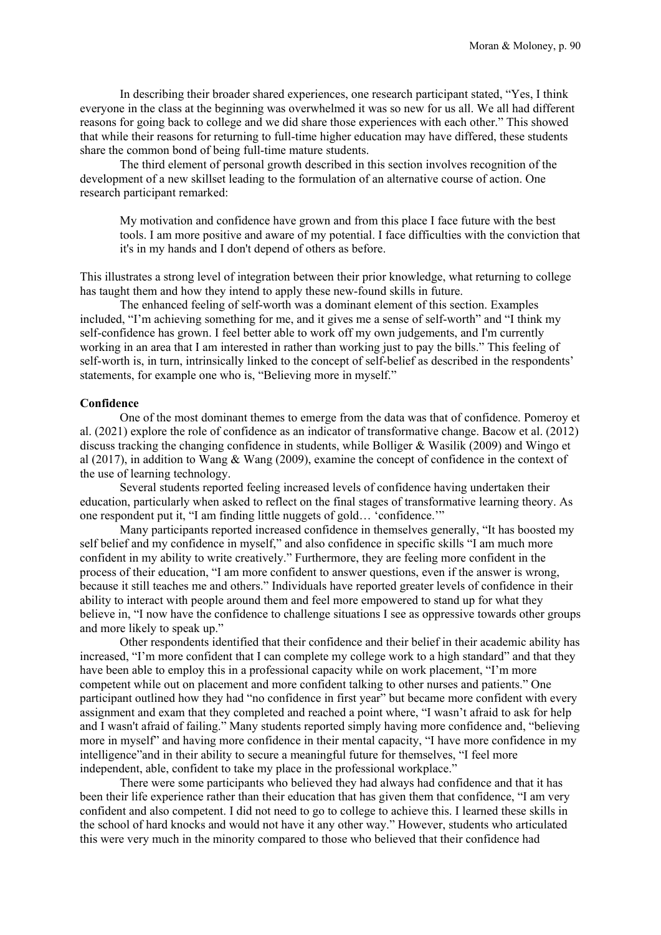In describing their broader shared experiences, one research participant stated, "Yes, I think everyone in the class at the beginning was overwhelmed it was so new for us all. We all had different reasons for going back to college and we did share those experiences with each other." This showed that while their reasons for returning to full-time higher education may have differed, these students share the common bond of being full-time mature students.

The third element of personal growth described in this section involves recognition of the development of a new skillset leading to the formulation of an alternative course of action. One research participant remarked:

My motivation and confidence have grown and from this place I face future with the best tools. I am more positive and aware of my potential. I face difficulties with the conviction that it's in my hands and I don't depend of others as before.

This illustrates a strong level of integration between their prior knowledge, what returning to college has taught them and how they intend to apply these new-found skills in future.

The enhanced feeling of self-worth was a dominant element of this section. Examples included, "I'm achieving something for me, and it gives me a sense of self-worth" and "I think my self-confidence has grown. I feel better able to work off my own judgements, and I'm currently working in an area that I am interested in rather than working just to pay the bills." This feeling of self-worth is, in turn, intrinsically linked to the concept of self-belief as described in the respondents' statements, for example one who is, "Believing more in myself."

#### **Confidence**

One of the most dominant themes to emerge from the data was that of confidence. Pomeroy et al. (2021) explore the role of confidence as an indicator of transformative change. Bacow et al. (2012) discuss tracking the changing confidence in students, while Bolliger & Wasilik (2009) and Wingo et al (2017), in addition to Wang & Wang (2009), examine the concept of confidence in the context of the use of learning technology.

Several students reported feeling increased levels of confidence having undertaken their education, particularly when asked to reflect on the final stages of transformative learning theory. As one respondent put it, "I am finding little nuggets of gold… 'confidence.'"

Many participants reported increased confidence in themselves generally, "It has boosted my self belief and my confidence in myself," and also confidence in specific skills "I am much more confident in my ability to write creatively." Furthermore, they are feeling more confident in the process of their education, "I am more confident to answer questions, even if the answer is wrong, because it still teaches me and others." Individuals have reported greater levels of confidence in their ability to interact with people around them and feel more empowered to stand up for what they believe in, "I now have the confidence to challenge situations I see as oppressive towards other groups and more likely to speak up."

Other respondents identified that their confidence and their belief in their academic ability has increased, "I'm more confident that I can complete my college work to a high standard" and that they have been able to employ this in a professional capacity while on work placement, "I'm more competent while out on placement and more confident talking to other nurses and patients." One participant outlined how they had "no confidence in first year" but became more confident with every assignment and exam that they completed and reached a point where, "I wasn't afraid to ask for help and I wasn't afraid of failing." Many students reported simply having more confidence and, "believing more in myself" and having more confidence in their mental capacity, "I have more confidence in my intelligence"and in their ability to secure a meaningful future for themselves, "I feel more independent, able, confident to take my place in the professional workplace."

There were some participants who believed they had always had confidence and that it has been their life experience rather than their education that has given them that confidence, "I am very confident and also competent. I did not need to go to college to achieve this. I learned these skills in the school of hard knocks and would not have it any other way." However, students who articulated this were very much in the minority compared to those who believed that their confidence had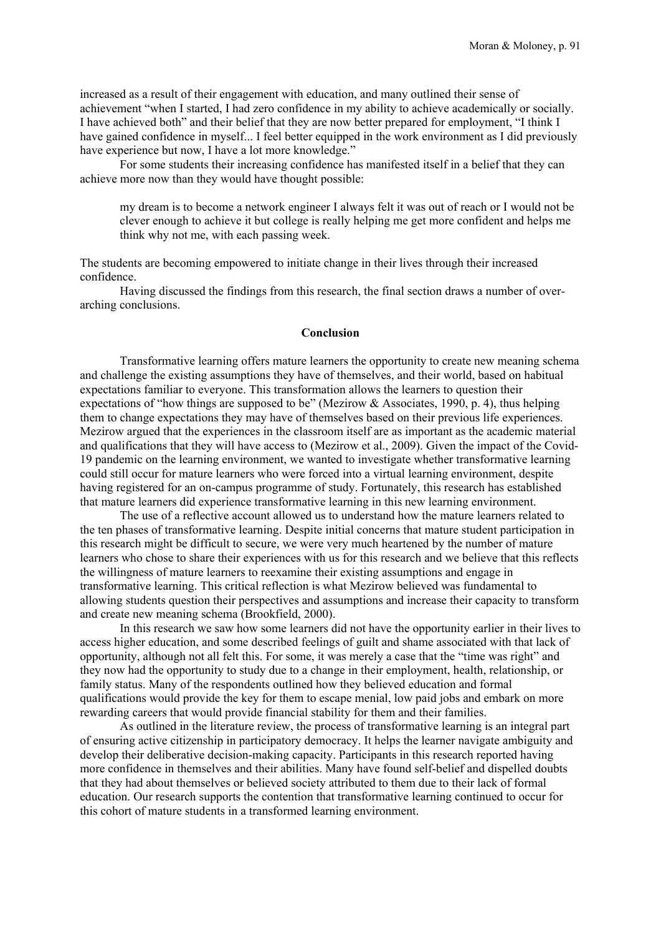increased as a result of their engagement with education, and many outlined their sense of achievement "when I started, I had zero confidence in my ability to achieve academically or socially. I have achieved both" and their belief that they are now better prepared for employment, "I think I have gained confidence in myself... I feel better equipped in the work environment as I did previously have experience but now, I have a lot more knowledge."

For some students their increasing confidence has manifested itself in a belief that they can achieve more now than they would have thought possible:

my dream is to become a network engineer I always felt it was out of reach or I would not be clever enough to achieve it but college is really helping me get more confident and helps me think why not me, with each passing week.

The students are becoming empowered to initiate change in their lives through their increased confidence.

Having discussed the findings from this research, the final section draws a number of overarching conclusions.

## **Conclusion**

Transformative learning offers mature learners the opportunity to create new meaning schema and challenge the existing assumptions they have of themselves, and their world, based on habitual expectations familiar to everyone. This transformation allows the learners to question their expectations of "how things are supposed to be" (Mezirow & Associates, 1990, p. 4), thus helping them to change expectations they may have of themselves based on their previous life experiences. Mezirow argued that the experiences in the classroom itself are as important as the academic material and qualifications that they will have access to (Mezirow et al., 2009). Given the impact of the Covid-19 pandemic on the learning environment, we wanted to investigate whether transformative learning could still occur for mature learners who were forced into a virtual learning environment, despite having registered for an on-campus programme of study. Fortunately, this research has established that mature learners did experience transformative learning in this new learning environment.

The use of a reflective account allowed us to understand how the mature learners related to the ten phases of transformative learning. Despite initial concerns that mature student participation in this research might be difficult to secure, we were very much heartened by the number of mature learners who chose to share their experiences with us for this research and we believe that this reflects the willingness of mature learners to reexamine their existing assumptions and engage in transformative learning. This critical reflection is what Mezirow believed was fundamental to allowing students question their perspectives and assumptions and increase their capacity to transform and create new meaning schema (Brookfield, 2000).

In this research we saw how some learners did not have the opportunity earlier in their lives to access higher education, and some described feelings of guilt and shame associated with that lack of opportunity, although not all felt this. For some, it was merely a case that the "time was right" and they now had the opportunity to study due to a change in their employment, health, relationship, or family status. Many of the respondents outlined how they believed education and formal qualifications would provide the key for them to escape menial, low paid jobs and embark on more rewarding careers that would provide financial stability for them and their families.

As outlined in the literature review, the process of transformative learning is an integral part of ensuring active citizenship in participatory democracy. It helps the learner navigate ambiguity and develop their deliberative decision-making capacity. Participants in this research reported having more confidence in themselves and their abilities. Many have found self-belief and dispelled doubts that they had about themselves or believed society attributed to them due to their lack of formal education. Our research supports the contention that transformative learning continued to occur for this cohort of mature students in a transformed learning environment.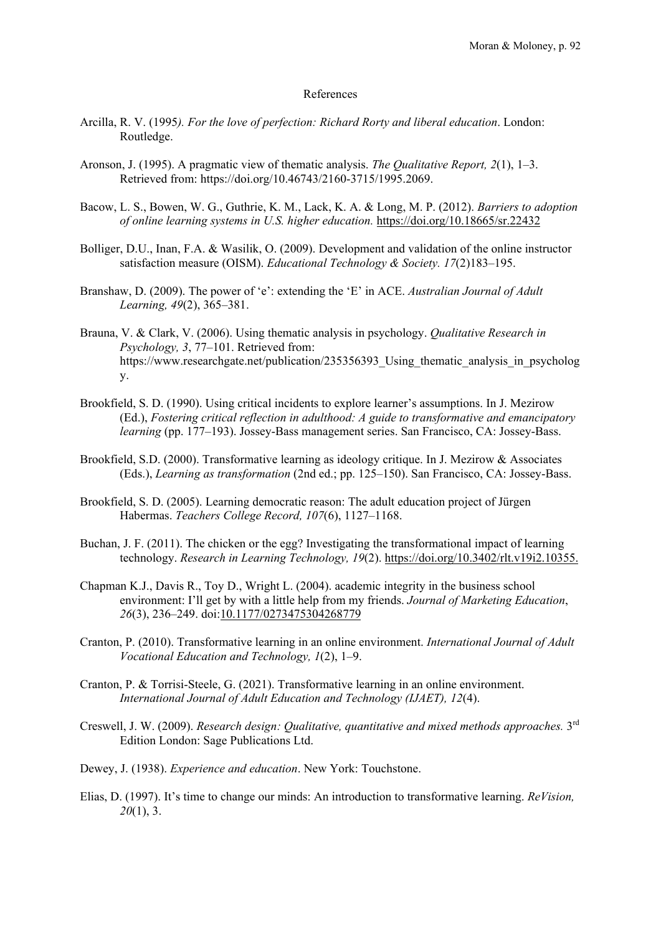# References

- Arcilla, R. V. (1995*). For the love of perfection: Richard Rorty and liberal education*. London: Routledge.
- Aronson, J. (1995). A pragmatic view of thematic analysis. *The Qualitative Report, 2*(1), 1–3. Retrieved from: https://doi.org/10.46743/2160-3715/1995.2069.
- Bacow, L. S., Bowen, W. G., Guthrie, K. M., Lack, K. A. & Long, M. P. (2012). *Barriers to adoption of online learning systems in U.S. higher education.* https://doi.org/10.18665/sr.22432
- Bolliger, D.U., Inan, F.A. & Wasilik, O. (2009). Development and validation of the online instructor satisfaction measure (OISM). *Educational Technology & Society. 17*(2)183–195.
- Branshaw, D. (2009). The power of 'e': extending the 'E' in ACE. *Australian Journal of Adult Learning, 49*(2), 365–381.
- Brauna, V. & Clark, V. (2006). Using thematic analysis in psychology. *Qualitative Research in Psychology, 3*, 77–101. Retrieved from: https://www.researchgate.net/publication/235356393\_Using\_thematic\_analysis\_in\_psycholog y.
- Brookfield, S. D. (1990). Using critical incidents to explore learner's assumptions. In J. Mezirow (Ed.), *Fostering critical reflection in adulthood: A guide to transformative and emancipatory learning* (pp. 177–193). Jossey-Bass management series. San Francisco, CA: Jossey-Bass.
- Brookfield, S.D. (2000). Transformative learning as ideology critique. In J. Mezirow & Associates (Eds.), *Learning as transformation* (2nd ed.; pp. 125–150). San Francisco, CA: Jossey-Bass.
- Brookfield, S. D. (2005). Learning democratic reason: The adult education project of Jürgen Habermas. *Teachers College Record, 107*(6), 1127–1168.
- Buchan, J. F. (2011). The chicken or the egg? Investigating the transformational impact of learning technology. *Research in Learning Technology, 19*(2). https://doi.org/10.3402/rlt.v19i2.10355.
- Chapman K.J., Davis R., Toy D., Wright L. (2004). academic integrity in the business school environment: I'll get by with a little help from my friends. *Journal of Marketing Education*, *26*(3), 236–249. doi:10.1177/0273475304268779
- Cranton, P. (2010). Transformative learning in an online environment. *International Journal of Adult Vocational Education and Technology, 1*(2), 1–9.
- Cranton, P. & Torrisi-Steele, G. (2021). Transformative learning in an online environment. *International Journal of Adult Education and Technology (IJAET), 12*(4).
- Creswell, J. W. (2009). *Research design: Qualitative, quantitative and mixed methods approaches.* 3rd Edition London: Sage Publications Ltd.
- Dewey, J. (1938). *Experience and education*. New York: Touchstone.
- Elias, D. (1997). It's time to change our minds: An introduction to transformative learning. *ReVision, 20*(1), 3.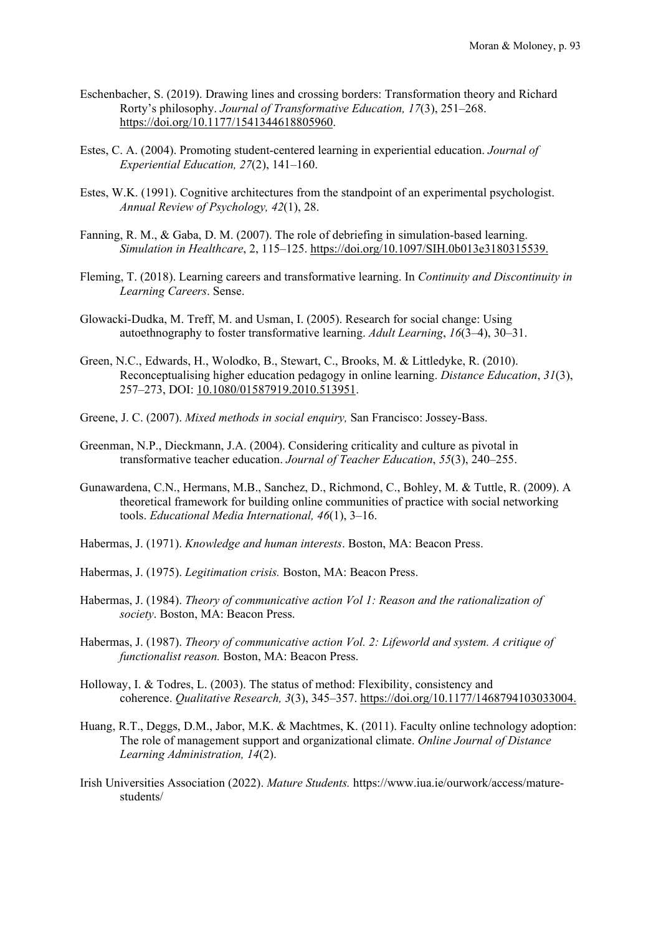- Eschenbacher, S. (2019). Drawing lines and crossing borders: Transformation theory and Richard Rorty's philosophy. *Journal of Transformative Education, 17*(3), 251–268. [https://doi.org/10.1177/1541344618805960.](https://doi.org/10.1177/1541344618805960)
- Estes, C. A. (2004). Promoting student-centered learning in experiential education. *Journal of Experiential Education, 27*(2), 141–160.
- Estes, W.K. (1991). Cognitive architectures from the standpoint of an experimental psychologist. *Annual Review of Psychology, 42*(1), 28.
- Fanning, R. M., & Gaba, D. M. (2007). The role of debriefing in simulation-based learning. *Simulation in Healthcare*, 2, 115–125. https://doi.org/10.1097/SIH.0b013e3180315539.
- Fleming, T. (2018). Learning careers and transformative learning. In *Continuity and Discontinuity in Learning Careers*. Sense.
- Glowacki-Dudka, M. Treff, M. and Usman, I. (2005). Research for social change: Using autoethnography to foster transformative learning. *Adult Learning*, *16*(3–4), 30–31.
- Green, N.C., Edwards, H., Wolodko, B., Stewart, C., Brooks, M. & Littledyke, R. (2010). Reconceptualising higher education pedagogy in online learning. *Distance Education*, *31*(3), 257–273, DOI: 10.1080/01587919.2010.513951.
- Greene, J. C. (2007). *Mixed methods in social enquiry,* San Francisco: Jossey-Bass.
- Greenman, N.P., Dieckmann, J.A. (2004). Considering criticality and culture as pivotal in transformative teacher education. *Journal of Teacher Education*, *55*(3), 240–255.
- Gunawardena, C.N., Hermans, M.B., Sanchez, D., Richmond, C., Bohley, M. & Tuttle, R. (2009). A theoretical framework for building online communities of practice with social networking tools. *Educational Media International, 46*(1), 3–16.
- Habermas, J. (1971). *Knowledge and human interests*. Boston, MA: Beacon Press.
- Habermas, J. (1975). *Legitimation crisis.* Boston, MA: Beacon Press.
- Habermas, J. (1984). *Theory of communicative action Vol 1: Reason and the rationalization of society*. Boston, MA: Beacon Press.
- Habermas, J. (1987). *Theory of communicative action Vol. 2: Lifeworld and system. A critique of functionalist reason.* Boston, MA: Beacon Press.
- Holloway, I. & Todres, L. (2003). The status of method: Flexibility, consistency and coherence. *Qualitative Research, 3*(3), 345–357. https://doi.org/10.1177/1468794103033004.
- Huang, R.T., Deggs, D.M., Jabor, M.K. & Machtmes, K. (2011). Faculty online technology adoption: The role of management support and organizational climate. *Online Journal of Distance Learning Administration, 14*(2).
- Irish Universities Association (2022). *Mature Students.* https://www.iua.ie/ourwork/access/maturestudents/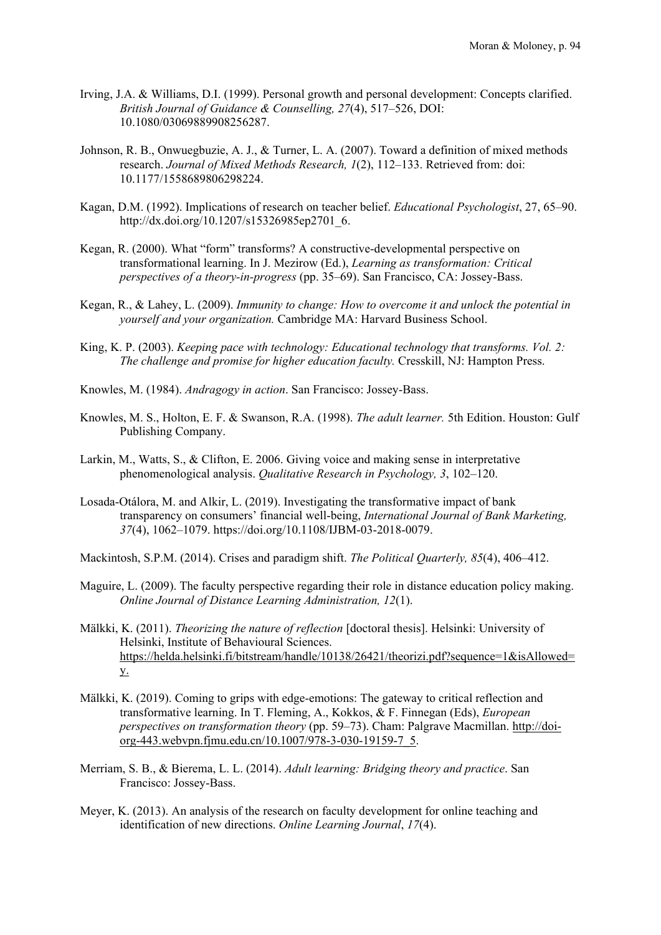- Irving, J.A. & Williams, D.I. (1999). Personal growth and personal development: Concepts clarified. *British Journal of Guidance & Counselling, 27*(4), 517–526, DOI: 10.1080/03069889908256287.
- Johnson, R. B., Onwuegbuzie, A. J., & Turner, L. A. (2007). Toward a definition of mixed methods research. *Journal of Mixed Methods Research, 1*(2), 112–133. Retrieved from: doi: 10.1177/1558689806298224.
- Kagan, D.M. (1992). Implications of research on teacher belief. *Educational Psychologist*, 27, 65–90. http://dx.doi.org/10.1207/s15326985ep2701\_6.
- Kegan, R. (2000). What "form" transforms? A constructive-developmental perspective on transformational learning. In J. Mezirow (Ed.), *Learning as transformation: Critical perspectives of a theory-in-progress* (pp. 35–69). San Francisco, CA: Jossey-Bass.
- Kegan, R., & Lahey, L. (2009). *Immunity to change: How to overcome it and unlock the potential in yourself and your organization.* Cambridge MA: Harvard Business School.
- King, K. P. (2003). *Keeping pace with technology: Educational technology that transforms. Vol. 2: The challenge and promise for higher education faculty.* Cresskill, NJ: Hampton Press.
- Knowles, M. (1984). *Andragogy in action*. San Francisco: Jossey-Bass.
- Knowles, M. S., Holton, E. F. & Swanson, R.A. (1998). *The adult learner.* 5th Edition. Houston: Gulf Publishing Company.
- Larkin, M., Watts, S., & Clifton, E. 2006. Giving voice and making sense in interpretative phenomenological analysis. *Qualitative Research in Psychology, 3*, 102–120.
- Losada-Otálora, M. and Alkir, L. (2019). Investigating the transformative impact of bank transparency on consumers' financial well-being, *International Journal of Bank Marketing, 37*(4), 1062–1079. https://doi.org/10.1108/IJBM-03-2018-0079.
- Mackintosh, S.P.M. (2014). Crises and paradigm shift. *The Political Quarterly, 85*(4), 406–412.
- Maguire, L. (2009). The faculty perspective regarding their role in distance education policy making. *Online Journal of Distance Learning Administration, 12*(1).
- Mälkki, K. (2011). *Theorizing the nature of reflection* [doctoral thesis]. Helsinki: University of Helsinki, Institute of Behavioural Sciences. https://helda.helsinki.fi/bitstream/handle/10138/26421/theorizi.pdf?sequence=1&isAllowed= y.
- Mälkki, K. (2019). Coming to grips with edge-emotions: The gateway to critical reflection and transformative learning. In T. Fleming, A., Kokkos, & F. Finnegan (Eds), *European perspectives on transformation theory* (pp. 59–73). Cham: Palgrave Macmillan. http://doiorg-443.webvpn.fjmu.edu.cn/10.1007/978-3-030-19159-7\_5.
- Merriam, S. B., & Bierema, L. L. (2014). *Adult learning: Bridging theory and practice*. San Francisco: Jossey-Bass.
- Meyer, K. (2013). An analysis of the research on faculty development for online teaching and identification of new directions. *Online Learning Journal*, *17*(4).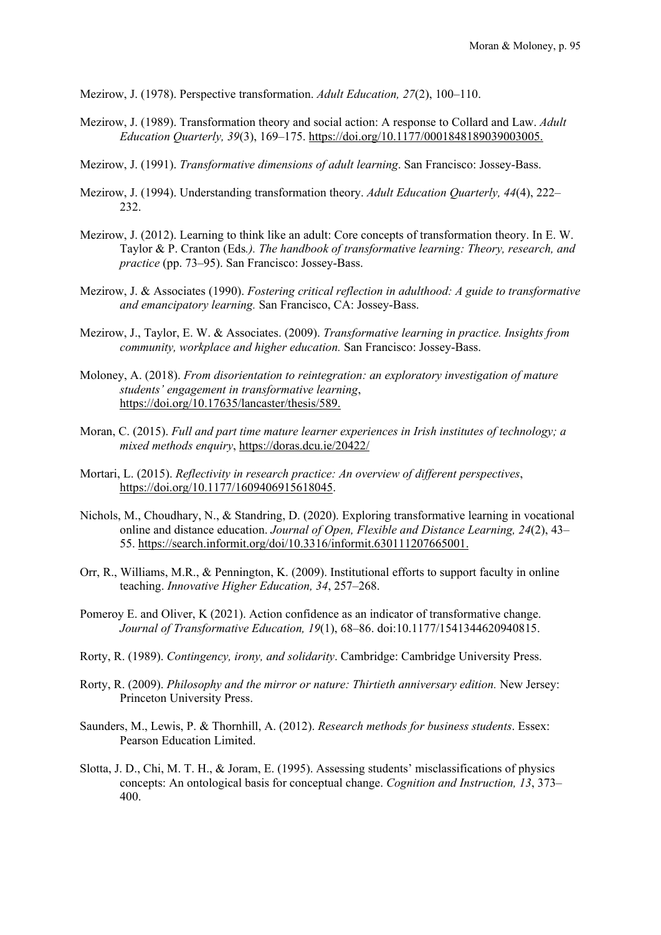Mezirow, J. (1978). Perspective transformation. *Adult Education, 27*(2), 100–110.

- Mezirow, J. (1989). Transformation theory and social action: A response to Collard and Law. *Adult Education Quarterly, 39*(3), 169–175. https://doi.org/10.1177/0001848189039003005.
- Mezirow, J. (1991). *Transformative dimensions of adult learning*. San Francisco: Jossey-Bass.
- Mezirow, J. (1994). Understanding transformation theory. *Adult Education Quarterly, 44*(4), 222– 232.
- Mezirow, J. (2012). Learning to think like an adult: Core concepts of transformation theory. In E. W. Taylor & P. Cranton (Eds*.). The handbook of transformative learning: Theory, research, and practice* (pp. 73–95). San Francisco: Jossey-Bass.
- Mezirow, J. & Associates (1990). *Fostering critical reflection in adulthood: A guide to transformative and emancipatory learning.* San Francisco, CA: Jossey-Bass.
- Mezirow, J., Taylor, E. W. & Associates. (2009). *Transformative learning in practice. Insights from community, workplace and higher education.* San Francisco: Jossey-Bass.
- Moloney, A. (2018). *From disorientation to reintegration: an exploratory investigation of mature students' engagement in transformative learning*, [https://doi.org/10.17635/lancaster/thesis/589.](https://doi.org/10.17635/lancaster/thesis/589)
- Moran, C. (2015). *Full and part time mature learner experiences in Irish institutes of technology; a mixed methods enquiry*, <https://doras.dcu.ie/20422/>
- Mortari, L. (2015). *Reflectivity in research practice: An overview of different perspectives*, https://doi.org/10.1177/1609406915618045.
- Nichols, M., Choudhary, N., & Standring, D. (2020). Exploring transformative learning in vocational online and distance education. *Journal of Open, Flexible and Distance Learning, 24*(2), 43– 55. https://search.informit.org/doi/10.3316/informit.630111207665001.
- Orr, R., Williams, M.R., & Pennington, K. (2009). Institutional efforts to support faculty in online teaching. *Innovative Higher Education, 34*, 257–268.
- Pomeroy E. and Oliver, K (2021). Action confidence as an indicator of transformative change. *Journal of Transformative Education, 19*(1), 68–86. doi:10.1177/1541344620940815.
- Rorty, R. (1989). *Contingency, irony, and solidarity*. Cambridge: Cambridge University Press.
- Rorty, R. (2009). *Philosophy and the mirror or nature: Thirtieth anniversary edition.* New Jersey: Princeton University Press.
- Saunders, M., Lewis, P. & Thornhill, A. (2012). *Research methods for business students*. Essex: Pearson Education Limited.
- Slotta, J. D., Chi, M. T. H., & Joram, E. (1995). Assessing students' misclassifications of physics concepts: An ontological basis for conceptual change. *Cognition and Instruction, 13*, 373– 400.